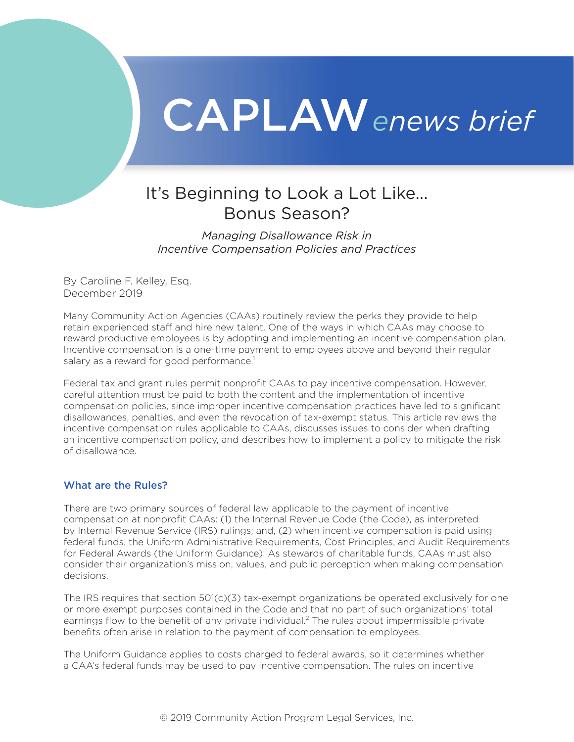# CAPLAW*enews brief*

## It's Beginning to Look a Lot Like... Bonus Season?

*Managing Disallowance Risk in Incentive Compensation Policies and Practices*

By Caroline F. Kelley, Esq. December 2019

Many Community Action Agencies (CAAs) routinely review the perks they provide to help retain experienced staff and hire new talent. One of the ways in which CAAs may choose to reward productive employees is by adopting and implementing an incentive compensation plan. Incentive compensation is a one-time payment to employees above and beyond their regular salary as a reward for good performance.<sup>1</sup>

Federal tax and grant rules permit nonprofit CAAs to pay incentive compensation. However, careful attention must be paid to both the content and the implementation of incentive compensation policies, since improper incentive compensation practices have led to significant disallowances, penalties, and even the revocation of tax-exempt status. This article reviews the incentive compensation rules applicable to CAAs, discusses issues to consider when drafting an incentive compensation policy, and describes how to implement a policy to mitigate the risk of disallowance.

### What are the Rules?

There are two primary sources of federal law applicable to the payment of incentive compensation at nonprofit CAAs: (1) the Internal Revenue Code (the Code), as interpreted by Internal Revenue Service (IRS) rulings; and, (2) when incentive compensation is paid using federal funds, the Uniform Administrative Requirements, Cost Principles, and Audit Requirements for Federal Awards (the Uniform Guidance). As stewards of charitable funds, CAAs must also consider their organization's mission, values, and public perception when making compensation decisions.

The IRS requires that section  $501(c)(3)$  tax-exempt organizations be operated exclusively for one or more exempt purposes contained in the Code and that no part of such organizations' total earnings flow to the benefit of any private individual.<sup>[2](#page-4-0)</sup> The rules about impermissible private benefits often arise in relation to the payment of compensation to employees.

The Uniform Guidance applies to costs charged to federal awards, so it determines whether a CAA's federal funds may be used to pay incentive compensation. The rules on incentive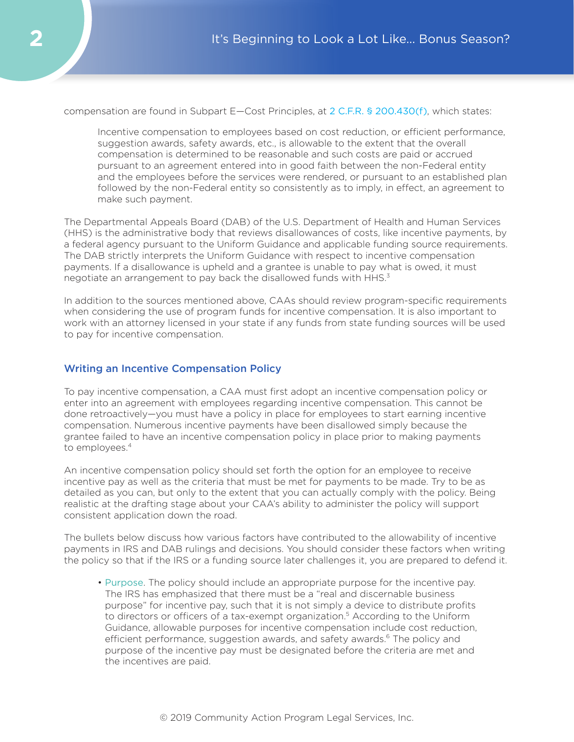compensation are found in Subpart E—Cost Principles, at [2 C.F.R. § 200.430\(f\)](https://www.law.cornell.edu/cfr/text/2/200.430), which states:

Incentive compensation to employees based on cost reduction, or efficient performance, suggestion awards, safety awards, etc., is allowable to the extent that the overall compensation is determined to be reasonable and such costs are paid or accrued pursuant to an agreement entered into in good faith between the non-Federal entity and the employees before the services were rendered, or pursuant to an established plan followed by the non-Federal entity so consistently as to imply, in effect, an agreement to make such payment.

The Departmental Appeals Board (DAB) of the U.S. Department of Health and Human Services (HHS) is the administrative body that reviews disallowances of costs, like incentive payments, by a federal agency pursuant to the Uniform Guidance and applicable funding source requirements. The DAB strictly interprets the Uniform Guidance with respect to incentive compensation payments. If a disallowance is upheld and a grantee is unable to pay what is owed, it must negotiate an arrangement to pay back the disallowed funds with HHS.<sup>3</sup>

In addition to the sources mentioned above, CAAs should review program-specific requirements when considering the use of program funds for incentive compensation. It is also important to work with an attorney licensed in your state if any funds from state funding sources will be used to pay for incentive compensation.

#### Writing an Incentive Compensation Policy

To pay incentive compensation, a CAA must first adopt an incentive compensation policy or enter into an agreement with employees regarding incentive compensation. This cannot be done retroactively—you must have a policy in place for employees to start earning incentive compensation. Numerous incentive payments have been disallowed simply because the grantee failed to have an incentive compensation policy in place prior to making payments to employees.<sup>4</sup>

An incentive compensation policy should set forth the option for an employee to receive incentive pay as well as the criteria that must be met for payments to be made. Try to be as detailed as you can, but only to the extent that you can actually comply with the policy. Being realistic at the drafting stage about your CAA's ability to administer the policy will support consistent application down the road.

The bullets below discuss how various factors have contributed to the allowability of incentive payments in IRS and DAB rulings and decisions. You should consider these factors when writing the policy so that if the IRS or a funding source later challenges it, you are prepared to defend it.

• Purpose . The policy should include an appropriate purpose for the incentive pay. The IRS has emphasized that there must be a "real and discernable business purpose" for incentive pay, such that it is not simply a device to distribute profits to directors or officers of a tax-exempt organization.<sup>5</sup> According to the Uniform Guidance, allowable purposes for incentive compensation include cost reduction, efficient performance, suggestion awards, and safety awards.<sup>[6](#page-5-0)</sup> The policy and purpose of the incentive pay must be designated before the criteria are met and the incentives are paid.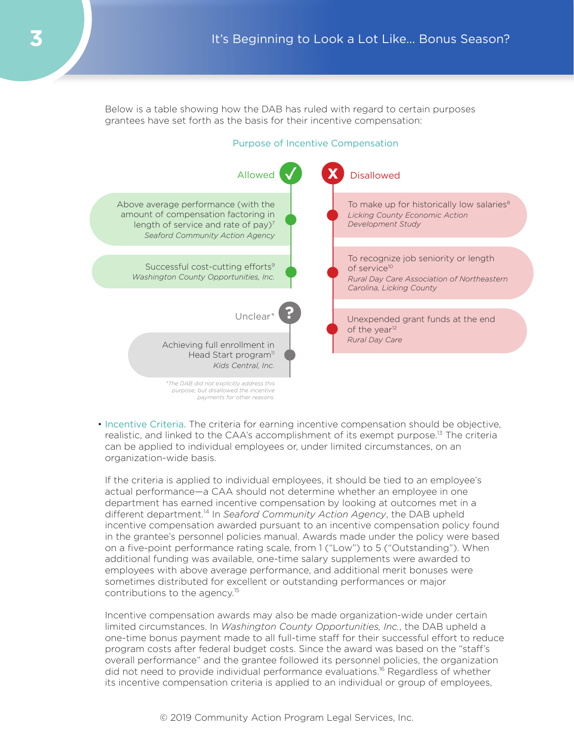Below is a table showing how the DAB has ruled with regard to certain purposes grantees have set forth as the basis for their incentive compensation:

#### Purpose of Incentive Compensation



• Incentive Criteria. The criteria for earning incentive compensation should be objective, realistic, and linked to the CAA's accomplishment of its exempt purpose.<sup>[13](#page-5-0)</sup> The criteria can be applied to individual employees or, under limited circumstances, on an organization-wide basis.

If the criteria is applied to individual employees, it should be tied to an employee's actual performance—a CAA should not determine whether an employee in one department has earned incentive compensation by looking at outcomes met in a different department[.14](#page-5-0) In *Seaford Community Action Agency*, the DAB upheld incentive compensation awarded pursuant to an incentive compensation policy found in the grantee's personnel policies manual. Awards made under the policy were based on a five-point performance rating scale, from 1 ("Low") to 5 ("Outstanding"). When additional funding was available, one-time salary supplements were awarded to employees with above average performance, and additional merit bonuses were sometimes distributed for excellent or outstanding performances or major contributions to the agency.<sup>[15](#page-5-0)</sup>

Incentive compensation awards may also be made organization-wide under certain limited circumstances. In *Washington County Opportunities, Inc.*, the DAB upheld a one-time bonus payment made to all full-time staff for their successful effort to reduce program costs after federal budget costs. Since the award was based on the "staff's overall performance" and the grantee followed its personnel policies, the organization did not need to provide individual performance evaluations.<sup>16</sup> Regardless of whether its incentive compensation criteria is applied to an individual or group of employees,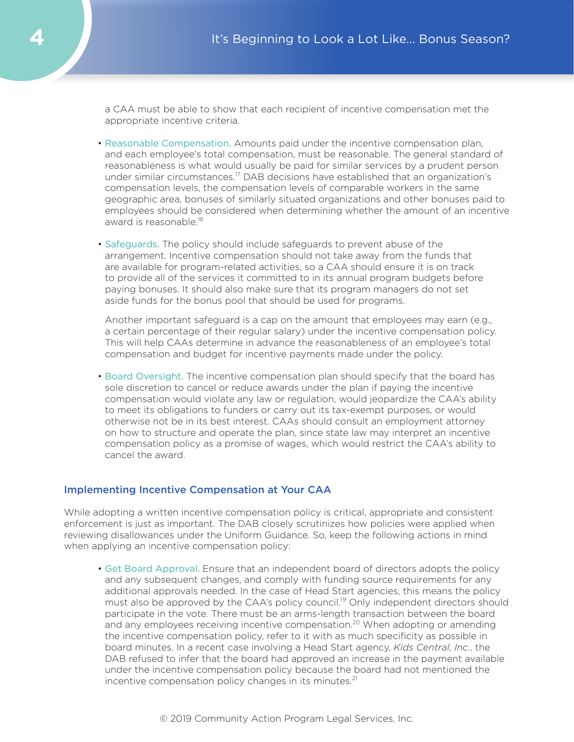a CAA must be able to show that each recipient of incentive compensation met the appropriate incentive criteria.

- Reasonable Compensation . Amounts paid under the incentive compensation plan, and each employee's total compensation, must be reasonable. The general standard of reasonableness is what would usually be paid for similar services by a prudent person under similar circumstances.<sup>17</sup> DAB decisions have established that an organization's compensation levels, the compensation levels of comparable workers in the same geographic area, bonuses of similarly situated organizations and other bonuses paid to employees should be considered when determining whether the amount of an incentive award is reasonable.<sup>18</sup>
- Safeguards . The policy should include safeguards to prevent abuse of the arrangement. Incentive compensation should not take away from the funds that are available for program-related activities, so a CAA should ensure it is on track to provide all of the services it committed to in its annual program budgets before paying bonuses. It should also make sure that its program managers do not set aside funds for the bonus pool that should be used for programs.

Another important safeguard is a cap on the amount that employees may earn (e.g., a certain percentage of their regular salary) under the incentive compensation policy. This will help CAAs determine in advance the reasonableness of an employee's total compensation and budget for incentive payments made under the policy.

• Board Oversight. The incentive compensation plan should specify that the board has sole discretion to cancel or reduce awards under the plan if paying the incentive compensation would violate any law or regulation, would jeopardize the CAA's ability to meet its obligations to funders or carry out its tax-exempt purposes, or would otherwise not be in its best interest. CAAs should consult an employment attorney on how to structure and operate the plan, since state law may interpret an incentive compensation policy as a promise of wages, which would restrict the CAA's ability to cancel the award.

#### Implementing Incentive Compensation at Your CAA

While adopting a written incentive compensation policy is critical, appropriate and consistent enforcement is just as important. The DAB closely scrutinizes how policies were applied when reviewing disallowances under the Uniform Guidance. So, keep the following actions in mind when applying an incentive compensation policy:

• Get Board Approval. Ensure that an independent board of directors adopts the policy and any subsequent changes, and comply with funding source requirements for any additional approvals needed. In the case of Head Start agencies, this means the policy must also be approved by the CAA's policy council.<sup>19</sup> Only independent directors should participate in the vote. There must be an arms-length transaction between the board and any employees receiving incentive compensation.<sup>20</sup> When adopting or amending the incentive compensation policy, refer to it with as much specificity as possible in board minutes. In a recent case involving a Head Start agency, *Kids Central, Inc.*, the DAB refused to infer that the board had approved an increase in the payment available under the incentive compensation policy because the board had not mentioned the incentive compensation policy changes in its minutes. $21$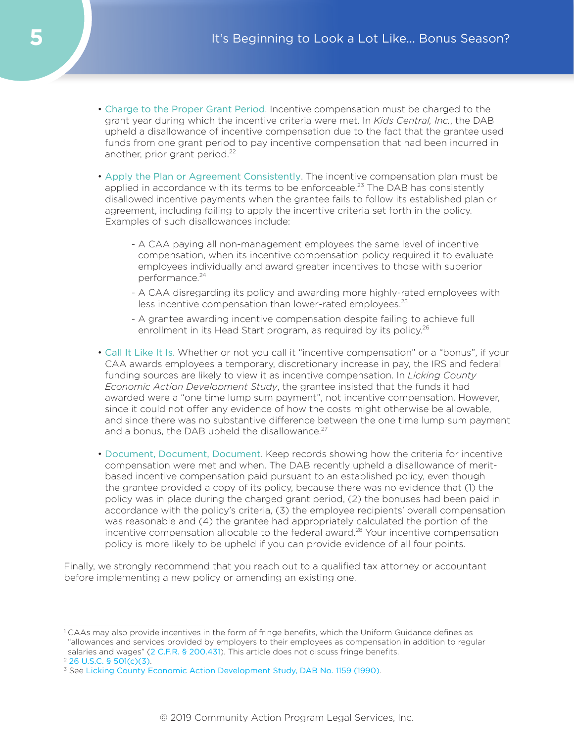- <span id="page-4-0"></span>• Charge to the Proper Grant Period. Incentive compensation must be charged to the grant year during which the incentive criteria were met. In *Kids Central, Inc.*, the DAB upheld a disallowance of incentive compensation due to the fact that the grantee used funds from one grant period to pay incentive compensation that had been incurred in another, prior grant period.<sup>22</sup>
- Apply the Plan or Agreement Consistently . The incentive compensation plan must be applied in accordance with its terms to be enforceable.<sup>[23](#page-5-0)</sup> The DAB has consistently disallowed incentive payments when the grantee fails to follow its established plan or agreement, including failing to apply the incentive criteria set forth in the policy. Examples of such disallowances include:
	- A CAA paying all non-management employees the same level of incentive compensation, when its incentive compensation policy required it to evaluate employees individually and award greater incentives to those with superior performance.<sup>24</sup>
	- A CAA disregarding its policy and awarding more highly-rated employees with less incentive compensation than lower-rated employees.<sup>[25](#page-5-0)</sup>
	- A grantee awarding incentive compensation despite failing to achieve full enrollment in its Head Start program, as required by its policy.<sup>[26](#page-5-0)</sup>
- Call It Like It Is . Whether or not you call it "incentive compensation" or a "bonus", if your CAA awards employees a temporary, discretionary increase in pay, the IRS and federal funding sources are likely to view it as incentive compensation. In *Licking County Economic Action Development Study*, the grantee insisted that the funds it had awarded were a "one time lump sum payment", not incentive compensation. However, since it could not offer any evidence of how the costs might otherwise be allowable, and since there was no substantive difference between the one time lump sum payment and a bonus, the DAB upheld the disallowance. $27$
- Document, Document, Document. Keep records showing how the criteria for incentive compensation were met and when. The DAB recently upheld a disallowance of meritbased incentive compensation paid pursuant to an established policy, even though the grantee provided a copy of its policy, because there was no evidence that (1) the policy was in place during the charged grant period, (2) the bonuses had been paid in accordance with the policy's criteria, (3) the employee recipients' overall compensation was reasonable and (4) the grantee had appropriately calculated the portion of the incentive compensation allocable to the federal award.<sup>28</sup> Your incentive compensation policy is more likely to be upheld if you can provide evidence of all four points.

Finally, we strongly recommend that you reach out to a qualified tax attorney or accountant before implementing a new policy or amending an existing one.

<sup>&</sup>lt;sup>1</sup> CAAs may also provide incentives in the form of fringe benefits, which the Uniform Guidance defines as "allowances and services provided by employers to their employees as compensation in addition to regular salaries and wages" ([2 C.F.R. § 200.431](https://www.law.cornell.edu/cfr/text/2/200.431)). This article does not discuss fringe benefits.

<sup>2</sup> [26 U.S.C. § 501\(c\)\(3\)](https://www.law.cornell.edu/uscode/text/26/501).

<sup>&</sup>lt;sup>3</sup> See [Licking County Economic Action Development Study, DAB No. 1159 \(1990\)](https://www.hhs.gov/sites/default/files/static/dab/decisions/board-decisions/1990/dab1159.htm).